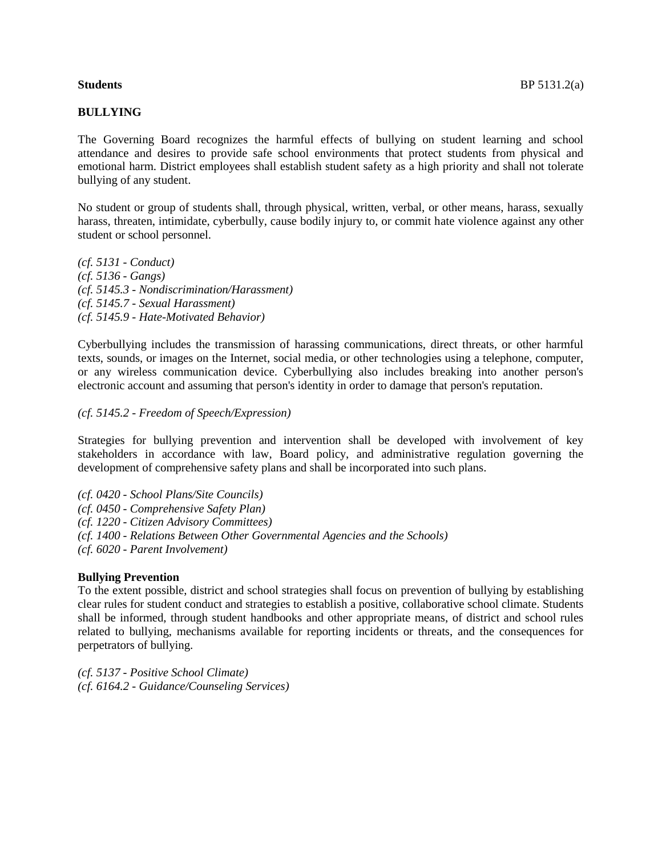## **BULLYING**

The Governing Board recognizes the harmful effects of bullying on student learning and school attendance and desires to provide safe school environments that protect students from physical and emotional harm. District employees shall establish student safety as a high priority and shall not tolerate bullying of any student.

No student or group of students shall, through physical, written, verbal, or other means, harass, sexually harass, threaten, intimidate, cyberbully, cause bodily injury to, or commit hate violence against any other student or school personnel.

*(cf. [5131](http://www.gamutonline.net/displayPolicy/796537/5) - Conduct) (cf. [5136](http://www.gamutonline.net/displayPolicy/152089/5) - Gangs) (cf. [5145.3](http://www.gamutonline.net/displayPolicy/796542/5) - Nondiscrimination/Harassment) (cf. [5145.7](http://www.gamutonline.net/displayPolicy/796543/5) - Sexual Harassment) (cf. [5145.9](http://www.gamutonline.net/displayPolicy/311512/5) - Hate-Motivated Behavior)* 

Cyberbullying includes the transmission of harassing communications, direct threats, or other harmful texts, sounds, or images on the Internet, social media, or other technologies using a telephone, computer, or any wireless communication device. Cyberbullying also includes breaking into another person's electronic account and assuming that person's identity in order to damage that person's reputation.

## *(cf. [5145.2](http://www.gamutonline.net/displayPolicy/480954/5) - Freedom of Speech/Expression)*

Strategies for bullying prevention and intervention shall be developed with involvement of key stakeholders in accordance with law, Board policy, and administrative regulation governing the development of comprehensive safety plans and shall be incorporated into such plans.

*(cf. [0420](http://www.gamutonline.net/displayPolicy/151882/5) - School Plans/Site Councils) (cf. [0450](http://www.gamutonline.net/displayPolicy/796494/5) - Comprehensive Safety Plan) (cf. [1220](http://www.gamutonline.net/displayPolicy/480939/5) - Citizen Advisory Committees) (cf. [1400](http://www.gamutonline.net/displayPolicy/480943/5) - Relations Between Other Governmental Agencies and the Schools) (cf. [6020](http://www.gamutonline.net/displayPolicy/152122/5) - Parent Involvement)* 

# **Bullying Prevention**

To the extent possible, district and school strategies shall focus on prevention of bullying by establishing clear rules for student conduct and strategies to establish a positive, collaborative school climate. Students shall be informed, through student handbooks and other appropriate means, of district and school rules related to bullying, mechanisms available for reporting incidents or threats, and the consequences for perpetrators of bullying.

*(cf. [5137](http://www.gamutonline.net/displayPolicy/152091/5) - Positive School Climate) (cf. [6164.2](http://www.gamutonline.net/displayPolicy/152426/5) - Guidance/Counseling Services)*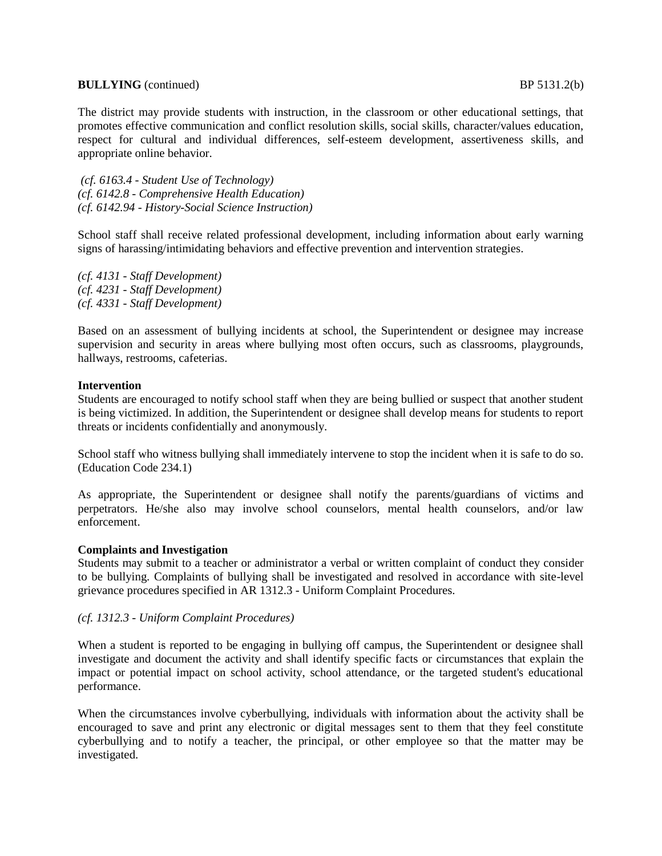## **BULLYING** (continued) BP 5131.2(b)

The district may provide students with instruction, in the classroom or other educational settings, that promotes effective communication and conflict resolution skills, social skills, character/values education, respect for cultural and individual differences, self-esteem development, assertiveness skills, and appropriate online behavior.

*(cf. [6163.4](http://www.gamutonline.net/displayPolicy/796549/5) - Student Use of Technology) (cf. [6142.8](http://www.gamutonline.net/displayPolicy/152423/5) - Comprehensive Health Education) (cf. [6142.94](http://www.gamutonline.net/displayPolicy/591164/5) - History-Social Science Instruction)* 

School staff shall receive related professional development, including information about early warning signs of harassing/intimidating behaviors and effective prevention and intervention strategies.

*(cf. [4131](http://www.gamutonline.net/displayPolicy/347871/5) - Staff Development) (cf. 4231 - Staff Development) (cf. [4331](http://www.gamutonline.net/displayPolicy/152409/5) - Staff Development)* 

Based on an assessment of bullying incidents at school, the Superintendent or designee may increase supervision and security in areas where bullying most often occurs, such as classrooms, playgrounds, hallways, restrooms, cafeterias.

## **Intervention**

Students are encouraged to notify school staff when they are being bullied or suspect that another student is being victimized. In addition, the Superintendent or designee shall develop means for students to report threats or incidents confidentially and anonymously.

School staff who witness bullying shall immediately intervene to stop the incident when it is safe to do so. (Education Code [234.1\)](http://www.gamutonline.net/displayPolicy/460631/5)

As appropriate, the Superintendent or designee shall notify the parents/guardians of victims and perpetrators. He/she also may involve school counselors, mental health counselors, and/or law enforcement.

### **Complaints and Investigation**

Students may submit to a teacher or administrator a verbal or written complaint of conduct they consider to be bullying. Complaints of bullying shall be investigated and resolved in accordance with site-level grievance procedures specified in AR 1312.3 - Uniform Complaint Procedures.

## *(cf. [1312.3](http://www.gamutonline.net/displayPolicy/796498/5) - Uniform Complaint Procedures)*

When a student is reported to be engaging in bullying off campus, the Superintendent or designee shall investigate and document the activity and shall identify specific facts or circumstances that explain the impact or potential impact on school activity, school attendance, or the targeted student's educational performance.

When the circumstances involve cyberbullying, individuals with information about the activity shall be encouraged to save and print any electronic or digital messages sent to them that they feel constitute cyberbullying and to notify a teacher, the principal, or other employee so that the matter may be investigated.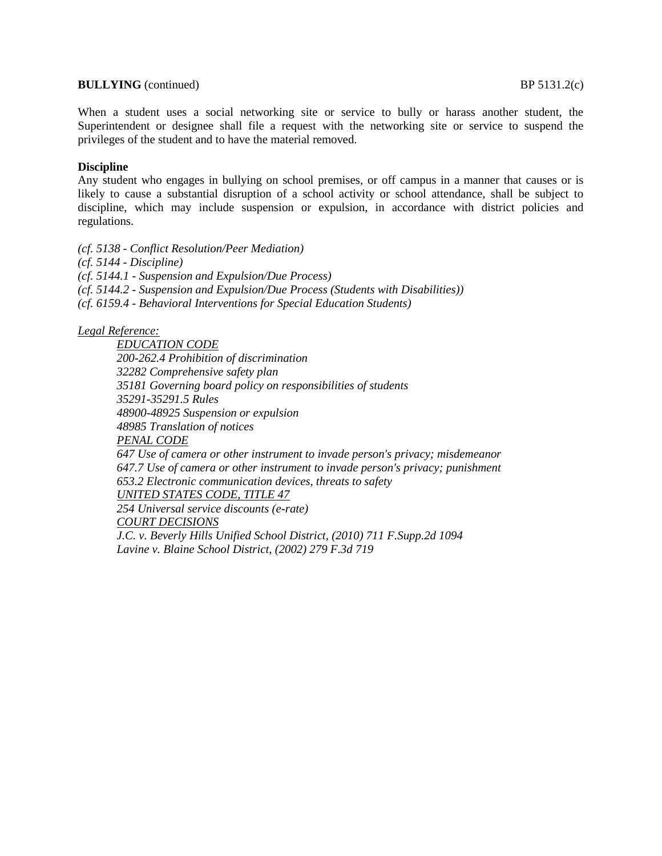## **BULLYING** (continued) BP 5131.2(c)

When a student uses a social networking site or service to bully or harass another student, the Superintendent or designee shall file a request with the networking site or service to suspend the privileges of the student and to have the material removed.

# **Discipline**

Any student who engages in bullying on school premises, or off campus in a manner that causes or is likely to cause a substantial disruption of a school activity or school attendance, shall be subject to discipline, which may include suspension or expulsion, in accordance with district policies and regulations.

*(cf. [5138](http://www.gamutonline.net/displayPolicy/390726/5) - Conflict Resolution/Peer Mediation) (cf. [5144](http://www.gamutonline.net/displayPolicy/152109/5) - Discipline) (cf. [5144.1](http://www.gamutonline.net/displayPolicy/796541/5) - Suspension and Expulsion/Due Process) (cf. [5144.2](http://www.gamutonline.net/displayPolicy/152362/5) - Suspension and Expulsion/Due Process (Students with Disabilities)) (cf. [6159.4](http://www.gamutonline.net/displayPolicy/347870/5) - Behavioral Interventions for Special Education Students)* 

# *Legal Reference:*

*EDUCATION CODE [200-](http://www.gamutonline.net/displayPolicy/138754/5)[262.4](http://www.gamutonline.net/displayPolicy/138778/5) Prohibition of discrimination [32282](http://www.gamutonline.net/displayPolicy/315706/5) Comprehensive safety plan [35181](http://www.gamutonline.net/displayPolicy/131415/5) Governing board policy on responsibilities of students [35291-](http://www.gamutonline.net/displayPolicy/131451/5)[35291.5](http://www.gamutonline.net/displayPolicy/131452/5) Rules [48900-](http://www.gamutonline.net/displayPolicy/137736/5)[48925](http://www.gamutonline.net/displayPolicy/132254/5) Suspension or expulsion [48985](http://www.gamutonline.net/displayPolicy/132268/5) Translation of notices PENAL CODE [647](http://www.gamutonline.net/displayPolicy/225789/5) Use of camera or other instrument to invade person's privacy; misdemeanor [647.7](http://www.gamutonline.net/displayPolicy/437340/5) Use of camera or other instrument to invade person's privacy; punishment [653.2](http://www.gamutonline.net/displayPolicy/512553/5) Electronic communication devices, threats to safety UNITED STATES CODE, TITLE 47 254 Universal service discounts (e-rate) COURT DECISIONS J.C. v. Beverly Hills Unified School District, (2010) 711 F.Supp.2d 1094 Lavine v. Blaine School District, (2002) 279 F.3d 719*